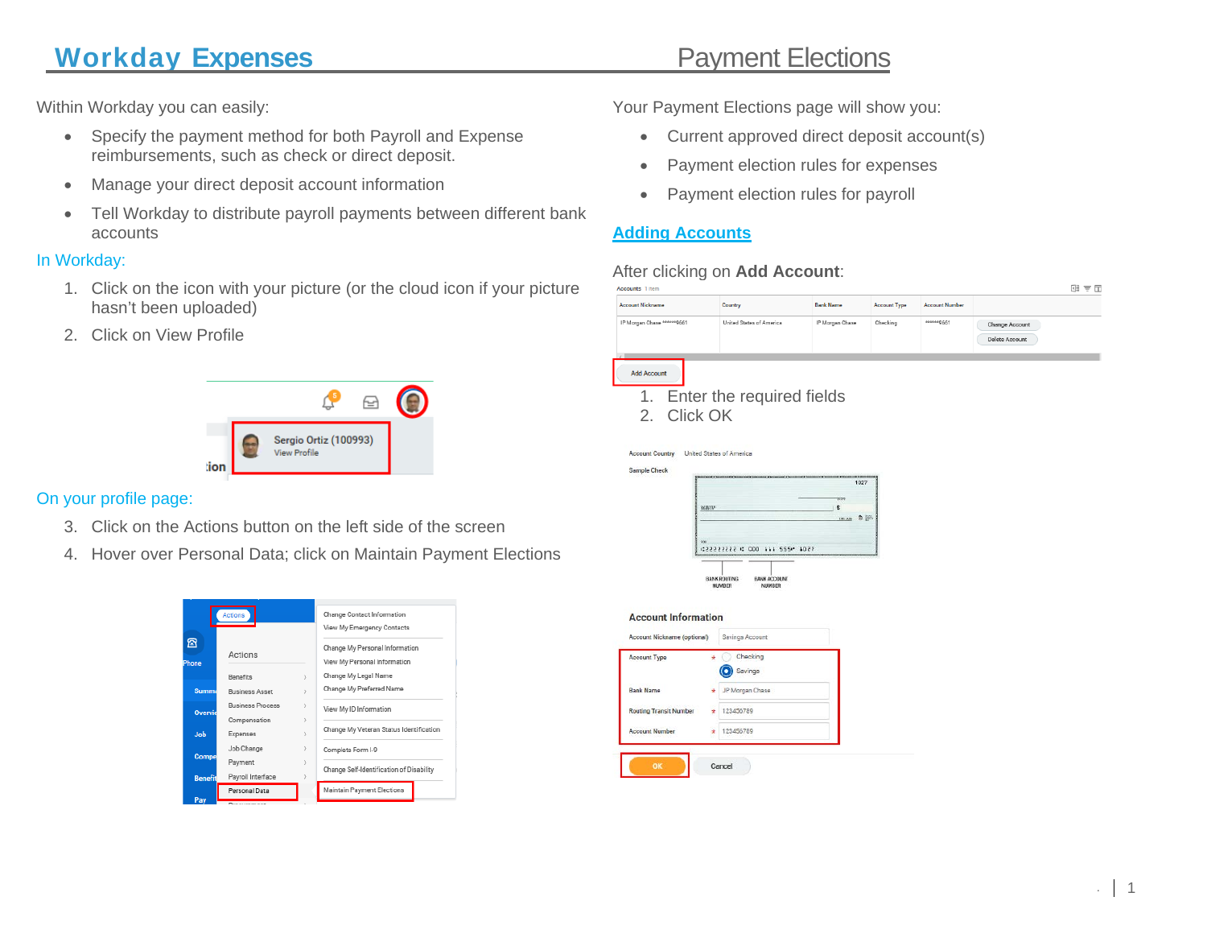# **Workday Expenses Payment Elections**

Within Workday you can easily:

- Specify the payment method for both Payroll and Expense reimbursements, such as check or direct deposit.
- Manage your direct deposit account information
- Tell Workday to distribute payroll payments between different bank accounts

### In Workday:

- 1. Click on the icon with your picture (or the cloud icon if your picture hasn't been uploaded)
- 2. Click on View Profile



## On your profile page:

- 3. Click on the Actions button on the left side of the screen
- 4. Hover over Personal Data; click on Maintain Payment Elections



Your Payment Elections page will show you:

- Current approved direct deposit account(s)
- Payment election rules for expenses
- Payment election rules for payroll

## **Adding Accounts**

## After clicking on **Add Account**: